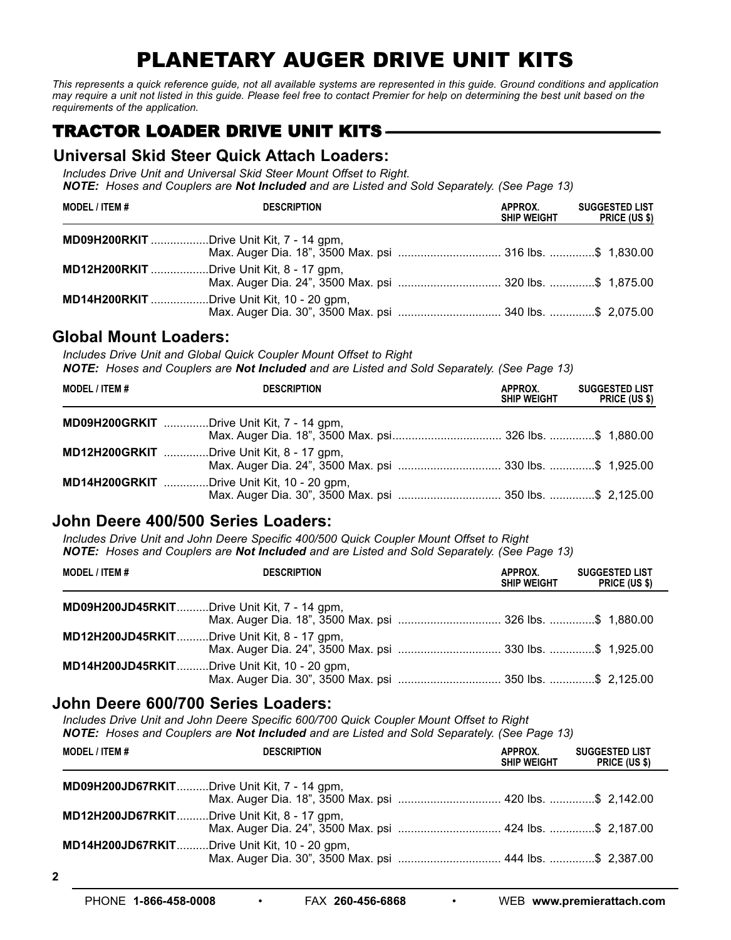# PLANETARY AUGER DRIVE UNIT KITS

This represents a quick reference guide, not all available systems are represented in this guide. Ground conditions and application may require a unit not listed in this guide. Please feel free to contact Premier for help on determining the best unit based on the *requirements of the application.*

# **TRACTOR LOADER DRIVE UNIT KITS –**

### **Universal Skid Steer Quick Attach Loaders:**

*Includes Drive Unit and Universal Skid Steer Mount Offset to Right. NOTE: Hoses and Couplers are Not Included and are Listed and Sold Separately. (See Page 13)*

| <b>MODEL / ITEM #</b>                           | <b>DESCRIPTION</b>                                                                                           | APPROX.<br><b>SHIP WEIGHT</b> | <b>SUGGESTED LIST</b><br><b>PRICE (US \$)</b> |
|-------------------------------------------------|--------------------------------------------------------------------------------------------------------------|-------------------------------|-----------------------------------------------|
| <b>MD09H200RKIT</b> Drive Unit Kit, 7 - 14 gpm, |                                                                                                              |                               |                                               |
| <b>MD12H200RKIT</b> Drive Unit Kit, 8 - 17 gpm, | Max. Auger Dia. 24", 3500 Max. psi  320 lbs. \$ 1,875.00                                                     |                               |                                               |
|                                                 | <b>MD14H200RKIT</b> Drive Unit Kit, 10 - 20 gpm,<br>Max. Auger Dia. 30", 3500 Max. psi  340 lbs. \$ 2,075.00 |                               |                                               |

### **Global Mount Loaders:**

*Includes Drive Unit and Global Quick Coupler Mount Offset to Right*

*NOTE: Hoses and Couplers are Not Included and are Listed and Sold Separately. (See Page 13)*

| <b>MODEL / ITEM #</b> | <b>DESCRIPTION</b>                                                                                          | APPROX.<br><b>SHIP WEIGHT</b> | <b>SUGGESTED LIST</b><br><b>PRICE (US \$)</b> |
|-----------------------|-------------------------------------------------------------------------------------------------------------|-------------------------------|-----------------------------------------------|
|                       | <b>MD09H200GRKIT</b> Drive Unit Kit, 7 - 14 gpm,<br>Max. Auger Dia. 18", 3500 Max. psi 326 lbs. \$ 1,880.00 |                               |                                               |
|                       | <b>MD12H200GRKIT</b> Drive Unit Kit, 8 - 17 gpm,                                                            |                               |                                               |
|                       | <b>MD14H200GRKIT</b> Drive Unit Kit, 10 - 20 gpm,                                                           |                               |                                               |

## **John Deere 400/500 Series Loaders:**

*Includes Drive Unit and John Deere Specific 400/500 Quick Coupler Mount Offset to Right NOTE: Hoses and Couplers are Not Included and are Listed and Sold Separately. (See Page 13)*

| <b>MODEL / ITEM #</b>                               | <b>DESCRIPTION</b>                                       | APPROX.<br><b>SHIP WEIGHT</b> | <b>SUGGESTED LIST</b><br><b>PRICE (US \$)</b> |
|-----------------------------------------------------|----------------------------------------------------------|-------------------------------|-----------------------------------------------|
| MD09H200JD45RKITDrive Unit Kit, 7 - 14 gpm,         | Max. Auger Dia. 18", 3500 Max. psi  326 lbs. \$ 1,880.00 |                               |                                               |
| <b>MD12H200JD45RKITDrive Unit Kit, 8 - 17 gpm,</b>  |                                                          |                               |                                               |
| <b>MD14H200JD45RKITDrive Unit Kit, 10 - 20 gpm,</b> |                                                          |                               |                                               |

### **John Deere 600/700 Series Loaders:**

*Includes Drive Unit and John Deere Specific 600/700 Quick Coupler Mount Offset to Right*

*NOTE: Hoses and Couplers are Not Included and are Listed and Sold Separately. (See Page 13)*

| <b>MODEL / ITEM #</b>                              | <b>DESCRIPTION</b>                                                                                              | APPROX.<br><b>SHIP WEIGHT</b> | <b>SUGGESTED LIST</b><br><b>PRICE (US \$)</b> |
|----------------------------------------------------|-----------------------------------------------------------------------------------------------------------------|-------------------------------|-----------------------------------------------|
| <b>MD09H200JD67RKITDrive Unit Kit, 7 - 14 gpm,</b> | Max. Auger Dia. 18", 3500 Max. psi  420 lbs. \$ 2,142.00                                                        |                               |                                               |
| <b>MD12H200JD67RKITDrive Unit Kit, 8 - 17 gpm,</b> | Max. Auger Dia. 24", 3500 Max. psi  424 lbs. \$ 2,187.00                                                        |                               |                                               |
|                                                    | <b>MD14H200JD67RKITDrive Unit Kit, 10 - 20 gpm,</b><br>Max. Auger Dia. 30", 3500 Max. psi  444 lbs. \$ 2,387.00 |                               |                                               |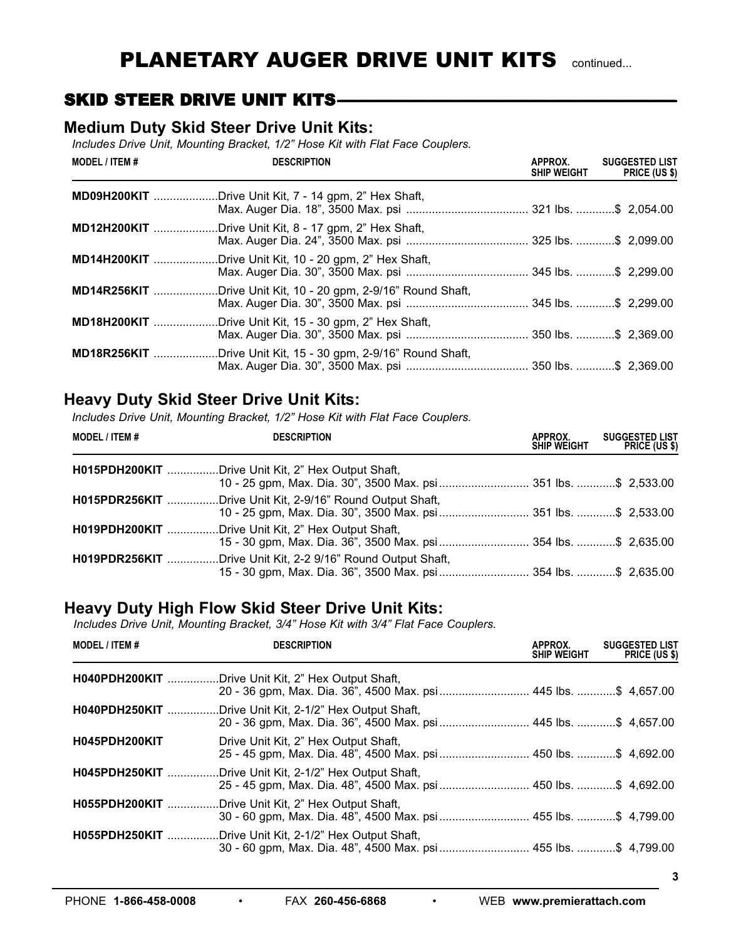# **SKID STEER DRIVE UNIT KITS---**

### **Medium Duty Skid Steer Drive Unit Kits:**

*Includes Drive Unit, Mounting Bracket, 1/2" Hose Kit with Flat Face Couplers.*

| <b>MODEL / ITEM #</b> | <b>DESCRIPTION</b>                                | APPROX.<br><b>SHIP WEIGHT</b> | <b>SUGGESTED LIST</b><br>PRICE (US \$) |
|-----------------------|---------------------------------------------------|-------------------------------|----------------------------------------|
| MD09H200KIT           | Drive Unit Kit, 7 - 14 gpm, 2" Hex Shaft,         |                               |                                        |
| MD12H200KIT           | Drive Unit Kit, 8 - 17 gpm, 2" Hex Shaft,         |                               |                                        |
| MD14H200KIT           | .Drive Unit Kit, 10 - 20 gpm, 2" Hex Shaft,       |                               |                                        |
| MD14R256KIT           | Drive Unit Kit, 10 - 20 gpm, 2-9/16" Round Shaft, |                               |                                        |
| <b>MD18H200KIT </b>   | Drive Unit Kit, 15 - 30 gpm, 2" Hex Shaft,        |                               |                                        |
| MD18R256KIT           | Drive Unit Kit, 15 - 30 gpm, 2-9/16" Round Shaft, |                               |                                        |

## **Heavy Duty Skid Steer Drive Unit Kits:**

*Includes Drive Unit, Mounting Bracket, 1/2" Hose Kit with Flat Face Couplers.*

| <b>MODEL / ITEM #</b> | <b>DESCRIPTION</b>                                                                                                             | APPROX.<br><b>SHIP WEIGHT</b> | <b>SUGGESTED LIST</b><br>PRICE (US \$) |
|-----------------------|--------------------------------------------------------------------------------------------------------------------------------|-------------------------------|----------------------------------------|
|                       | H015PDH200KIT Drive Unit Kit, 2" Hex Output Shaft,                                                                             |                               |                                        |
|                       | H015PDR256KIT Drive Unit Kit, 2-9/16" Round Output Shaft,<br>10 - 25 gpm, Max. Dia. 30", 3500 Max. psi  351 lbs. \$ 2,533.00   |                               |                                        |
|                       | H019PDH200KIT Drive Unit Kit, 2" Hex Output Shaft,<br>15 - 30 gpm, Max. Dia. 36", 3500 Max. psi  354 lbs. \$ 2,635.00          |                               |                                        |
|                       | H019PDR256KIT Drive Unit Kit, 2-2 9/16" Round Output Shaft,<br>15 - 30 gpm, Max. Dia. 36", 3500 Max. psi  354 lbs. \$ 2,635.00 |                               |                                        |

### **Heavy Duty High Flow Skid Steer Drive Unit Kits:**

*Includes Drive Unit, Mounting Bracket, 3/4" Hose Kit with 3/4" Flat Face Couplers.*

| <b>MODEL / ITEM #</b> | <b>DESCRIPTION</b>                                                                                                        | APPROX.<br><b>SHIP WEIGHT</b> | <b>SUGGESTED LIST</b><br><b>PRICE (US \$)</b> |
|-----------------------|---------------------------------------------------------------------------------------------------------------------------|-------------------------------|-----------------------------------------------|
|                       | H040PDH200KIT Drive Unit Kit, 2" Hex Output Shaft,                                                                        |                               |                                               |
|                       | H040PDH250KIT Drive Unit Kit, 2-1/2" Hex Output Shaft,<br>20 - 36 gpm, Max. Dia. 36", 4500 Max. psi  445 lbs. \$ 4,657.00 |                               |                                               |
| H045PDH200KIT         | Drive Unit Kit, 2" Hex Output Shaft,<br>25 - 45 gpm, Max. Dia. 48", 4500 Max. psi  450 lbs. \$ 4,692.00                   |                               |                                               |
| H045PDH250KIT         | Drive Unit Kit, 2-1/2" Hex Output Shaft,<br>25 - 45 gpm, Max. Dia. 48", 4500 Max. psi  450 lbs. \$ 4,692.00               |                               |                                               |
| H055PDH200KIT         | Drive Unit Kit, 2" Hex Output Shaft,                                                                                      |                               |                                               |
| H055PDH250KIT         | .Drive Unit Kit, 2-1/2" Hex Output Shaft,<br>30 - 60 gpm, Max. Dia. 48", 4500 Max. psi  455 lbs. \$ 4,799.00              |                               |                                               |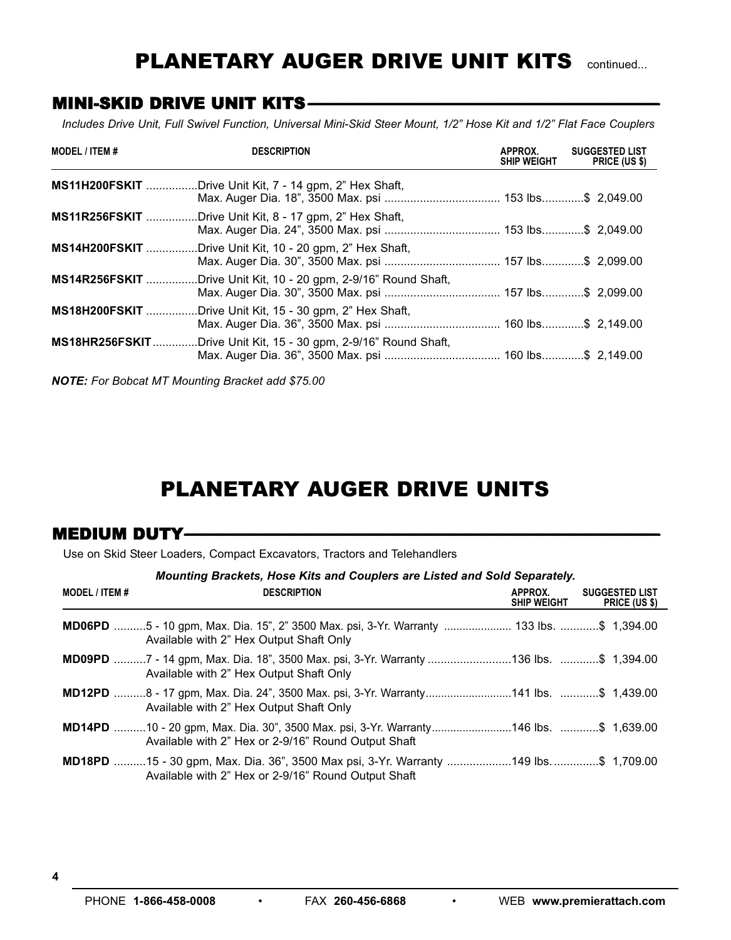# PLANETARY AUGER DRIVE UNIT KITS continued...

## **MINI-SKID DRIVE UNIT KITS-**

Includes Drive Unit, Full Swivel Function, Universal Mini-Skid Steer Mount, 1/2" Hose Kit and 1/2" Flat Face Couplers

| <b>MODEL / ITEM #</b> | <b>DESCRIPTION</b>                                             | APPROX.<br><b>SHIP WEIGHT</b> | <b>SUGGESTED LIST</b><br>PRICE (US \$) |
|-----------------------|----------------------------------------------------------------|-------------------------------|----------------------------------------|
|                       | <b>MS11H200FSKIT</b> Drive Unit Kit, 7 - 14 gpm, 2" Hex Shaft, |                               |                                        |
| <b>MS11R256FSKIT </b> | .Drive Unit Kit, 8 - 17 gpm, 2" Hex Shaft,                     |                               |                                        |
| <b>MS14H200FSKIT</b>  | .Drive Unit Kit, 10 - 20 gpm, 2" Hex Shaft,                    |                               |                                        |
| <b>MS14R256FSKIT</b>  | Drive Unit Kit, 10 - 20 gpm, 2-9/16" Round Shaft,              |                               |                                        |
| <b>MS18H200FSKIT</b>  | Drive Unit Kit, 15 - 30 gpm, 2" Hex Shaft,                     |                               |                                        |
| <b>MS18HR256FSKIT</b> | Drive Unit Kit, 15 - 30 gpm, 2-9/16" Round Shaft,              |                               |                                        |

*NOTE: For Bobcat MT Mounting Bracket add \$75.00*

# PLANETARY AUGER DRIVE UNITS

## MEDIUM DUTY**------------------------------------------------------------------------------------------------------------------------------------------------------------------------------------------------------------------------------------------------------------------------**

Use on Skid Steer Loaders, Compact Excavators, Tractors and Telehandlers

| Mounting Brackets, Hose Kits and Couplers are Listed and Sold Separately. |  |
|---------------------------------------------------------------------------|--|
|---------------------------------------------------------------------------|--|

| <b>MODEL / ITEM #</b> | <b>DESCRIPTION</b>                                                                                                                                 | APPROX.<br><b>SHIP WEIGHT</b> | <b>SUGGESTED LIST</b><br><b>PRICE (US \$)</b> |
|-----------------------|----------------------------------------------------------------------------------------------------------------------------------------------------|-------------------------------|-----------------------------------------------|
|                       | MD06PD 5 - 10 gpm, Max. Dia. 15", 2" 3500 Max. psi, 3-Yr. Warranty  133 lbs. \$ 1,394.00<br>Available with 2" Hex Output Shaft Only                |                               |                                               |
|                       | MD09PD 7 - 14 gpm, Max. Dia. 18", 3500 Max. psi, 3-Yr. Warranty  \$ 1,394.00<br>Available with 2" Hex Output Shaft Only                            |                               |                                               |
|                       | Available with 2" Hex Output Shaft Only                                                                                                            |                               |                                               |
|                       | MD14PD 10 - 20 gpm, Max. Dia. 30", 3500 Max. psi, 3-Yr. Warranty146 lbs. \$ 1,639.00<br>Available with 2" Hex or 2-9/16" Round Output Shaft        |                               |                                               |
|                       | 1,709.00 MD18PD 15 - 30 gpm, Max. Dia. 36", 3500 Max psi, 3-Yr. Warranty 149 lbs\$ 1,709.00<br>Available with 2" Hex or 2-9/16" Round Output Shaft |                               |                                               |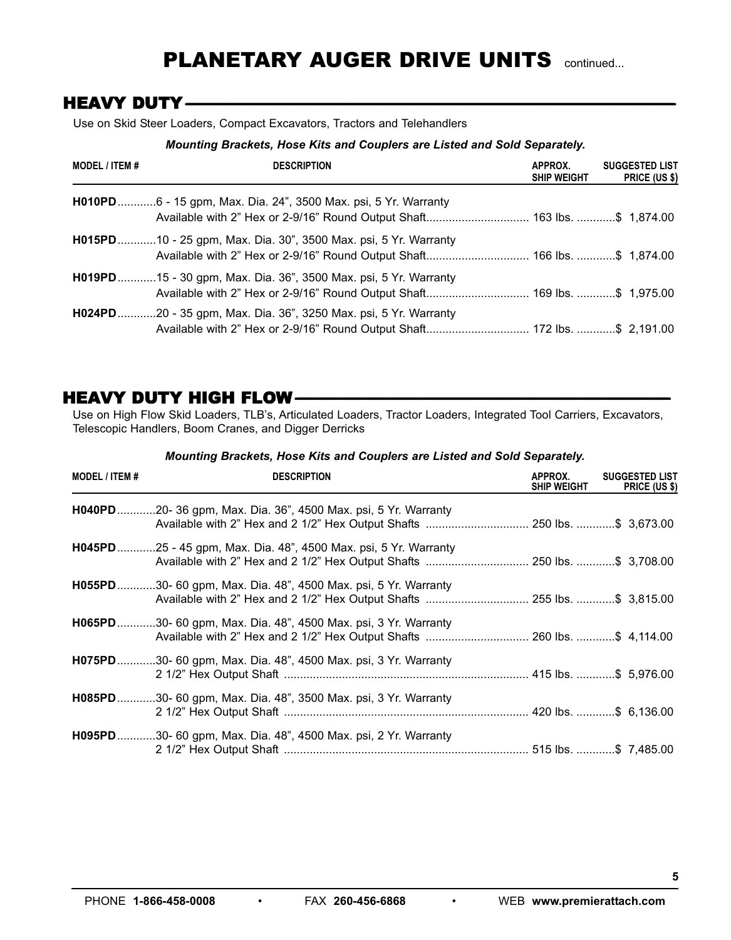# PLANETARY AUGER DRIVE UNITS continued...

## **HEAVY DUTY-**

Use on Skid Steer Loaders, Compact Excavators, Tractors and Telehandlers

#### *Mounting Brackets, Hose Kits and Couplers are Listed and Sold Separately.*

| <b>MODEL / ITEM #</b> | <b>DESCRIPTION</b>                                                      | APPROX.<br><b>SHIP WEIGHT</b> | <b>SUGGESTED LIST</b><br>PRICE (US \$) |
|-----------------------|-------------------------------------------------------------------------|-------------------------------|----------------------------------------|
|                       | H010PD6 - 15 gpm, Max. Dia. 24", 3500 Max. psi, 5 Yr. Warranty          |                               |                                        |
|                       | <b>H015PD</b> 10 - 25 gpm, Max. Dia. 30", 3500 Max. psi, 5 Yr. Warranty |                               |                                        |
|                       | H019PD15 - 30 gpm, Max. Dia. 36", 3500 Max. psi, 5 Yr. Warranty         |                               |                                        |
|                       | H024PD20 - 35 gpm, Max. Dia. 36", 3250 Max. psi, 5 Yr. Warranty         |                               |                                        |

## **HEAVY DUTY HIGH FLOW-**

Use on High Flow Skid Loaders, TLB's, Articulated Loaders, Tractor Loaders, Integrated Tool Carriers, Excavators, Telescopic Handlers, Boom Cranes, and Digger Derricks

| MODEL / ITEM # | <b>DESCRIPTION</b>                                                                                                                                 | APPROX.<br><b>SHIP WEIGHT</b> | <b>SUGGESTED LIST</b><br>PRICE (US \$) |
|----------------|----------------------------------------------------------------------------------------------------------------------------------------------------|-------------------------------|----------------------------------------|
|                | <b>H040PD</b> 20- 36 gpm, Max. Dia. 36", 4500 Max. psi, 5 Yr. Warranty                                                                             |                               |                                        |
|                | H045PD25 - 45 gpm, Max. Dia. 48", 4500 Max. psi, 5 Yr. Warranty                                                                                    |                               |                                        |
|                | <b>H055PD</b> 30- 60 gpm, Max. Dia. 48", 4500 Max. psi, 5 Yr. Warranty<br>Available with 2" Hex and 2 1/2" Hex Output Shafts  255 lbs. \$ 3,815.00 |                               |                                        |
|                | H065PD30- 60 gpm, Max. Dia. 48", 4500 Max. psi, 3 Yr. Warranty<br>Available with 2" Hex and 2 1/2" Hex Output Shafts  260 lbs. \$ 4,114.00         |                               |                                        |
|                | H075PD30- 60 gpm, Max. Dia. 48", 4500 Max. psi, 3 Yr. Warranty                                                                                     |                               |                                        |
|                | H085PD30- 60 gpm, Max. Dia. 48", 3500 Max. psi, 3 Yr. Warranty                                                                                     |                               |                                        |
|                | H095PD30- 60 gpm, Max. Dia. 48", 4500 Max. psi, 2 Yr. Warranty                                                                                     |                               |                                        |

#### *Mounting Brackets, Hose Kits and Couplers are Listed and Sold Separately.*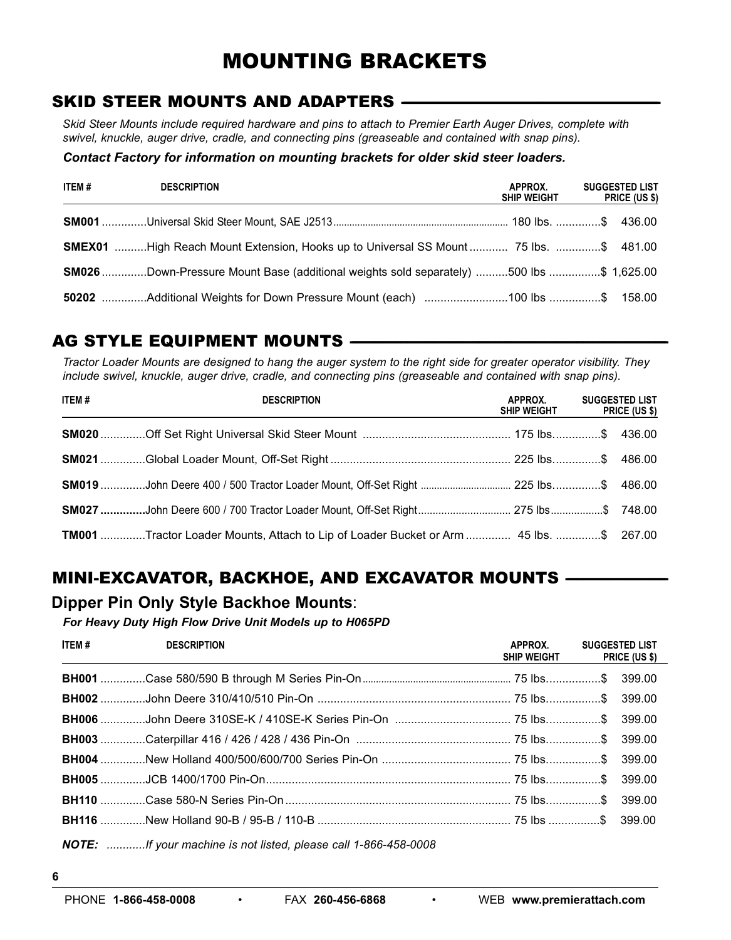# MOUNTING BRACKETS

## **SKID STEER MOUNTS AND ADAPTERS -**

Skid Steer Mounts include required hardware and pins to attach to Premier Earth Auger Drives, complete with *swivel, knuckle, auger drive, cradle, and connecting pins (greaseable and contained with snap pins).*

#### *Contact Factory for information on mounting brackets for older skid steer loaders.*

| ITEM # | <b>DESCRIPTION</b>                                                                             | APPROX.<br><b>SHIP WEIGHT</b> | <b>SUGGESTED LIST</b><br><b>PRICE (US \$)</b> |
|--------|------------------------------------------------------------------------------------------------|-------------------------------|-----------------------------------------------|
|        |                                                                                                |                               |                                               |
|        | <b>SMEX01</b> High Reach Mount Extension, Hooks up to Universal SS Mount  75 lbs. \$ 481.00    |                               |                                               |
|        | <b>SM026</b> Down-Pressure Mount Base (additional weights sold separately) 500 lbs \$ 1,625.00 |                               |                                               |
|        |                                                                                                |                               |                                               |

## **AG STYLE EQUIPMENT MOUNTS -**

Tractor Loader Mounts are designed to hang the auger system to the right side for greater operator visibility. They *include swivel, knuckle, auger drive, cradle, and connecting pins (greaseable and contained with snap pins).*

| ITEM# | <b>DESCRIPTION</b>                                                                    | APPROX.<br><b>SHIP WEIGHT</b> | <b>SUGGESTED LIST</b><br>PRICE (US \$) |
|-------|---------------------------------------------------------------------------------------|-------------------------------|----------------------------------------|
|       |                                                                                       |                               |                                        |
|       |                                                                                       |                               |                                        |
|       |                                                                                       |                               |                                        |
|       |                                                                                       |                               |                                        |
|       | TM001 Tractor Loader Mounts, Attach to Lip of Loader Bucket or Arm  45 lbs. \$ 267.00 |                               |                                        |

# **MINI-EXCAVATOR, BACKHOE, AND EXCAVATOR MOUNTS --**

### **Dipper Pin Only Style Backhoe Mounts**:

*For Heavy Duty High Flow Drive Unit Models up to H065PD*

| ITEM # | <b>DESCRIPTION</b>                                                    | APPROX.<br>SHIP WEIGHT PRICE (US \$) | <b>SUGGESTED LIST</b> |
|--------|-----------------------------------------------------------------------|--------------------------------------|-----------------------|
|        |                                                                       |                                      |                       |
|        |                                                                       |                                      |                       |
|        |                                                                       |                                      |                       |
|        |                                                                       |                                      |                       |
|        |                                                                       |                                      |                       |
|        |                                                                       |                                      |                       |
|        |                                                                       |                                      |                       |
|        |                                                                       |                                      |                       |
|        | <b>NOTE:</b> If your machine is not listed please call 1-866-458-0008 |                                      |                       |

*NOTE: ............If your machine is not listed, please call 1-866-458-0008*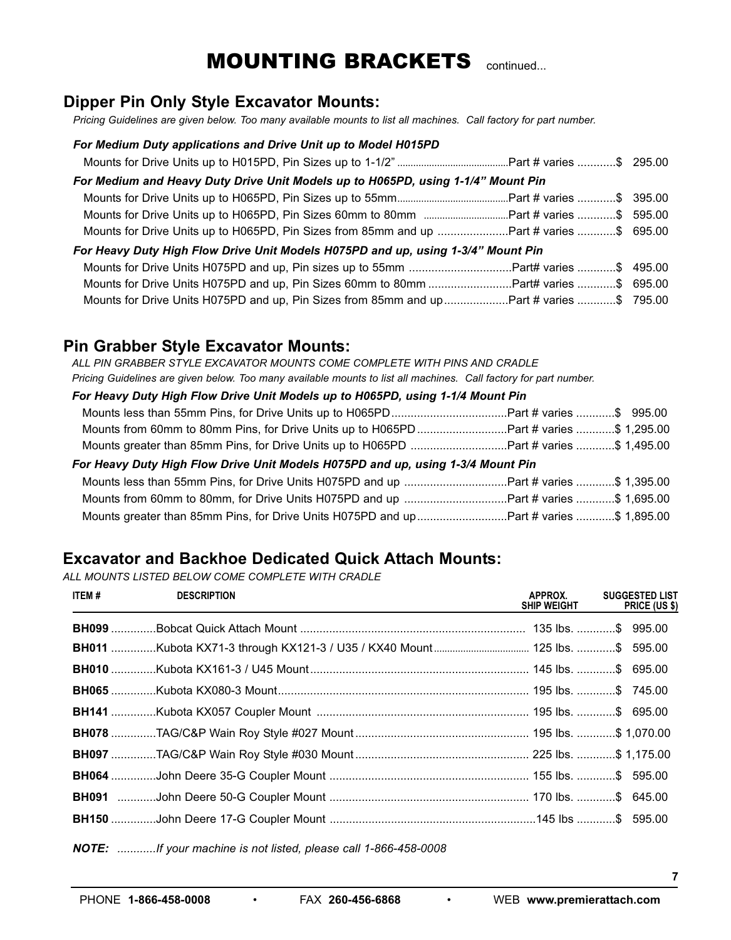# **MOUNTING BRACKETS** continued...

## **Dipper Pin Only Style Excavator Mounts:**

Pricing Guidelines are given below. Too many available mounts to list all machines. Call factory for part number.

#### *For Medium Duty applications and Drive Unit up to Model H015PD*

| For Medium and Heavy Duty Drive Unit Models up to H065PD, using 1-1/4" Mount Pin        |  |
|-----------------------------------------------------------------------------------------|--|
|                                                                                         |  |
|                                                                                         |  |
| Mounts for Drive Units up to H065PD, Pin Sizes from 85mm and up Part # varies \$ 695.00 |  |
| For Heavy Duty High Flow Drive Unit Models H075PD and up, using 1-3/4" Mount Pin        |  |
|                                                                                         |  |
| Mounts for Drive Units H075PD and up, Pin Sizes 60mm to 80mm Part# varies \$ 695.00     |  |
| Mounts for Drive Units H075PD and up, Pin Sizes from 85mm and upPart # varies \$ 795.00 |  |

### **Pin Grabber Style Excavator Mounts:**

*ALL PIN GRABBER STYLE EXCAVATOR MOUNTS COME COMPLETE WITH PINS AND CRADLE* Pricing Guidelines are given below. Too many available mounts to list all machines. Call factory for part number.

| For Heavy Duty High Flow Drive Unit Models up to H065PD, using 1-1/4 Mount Pin        |  |
|---------------------------------------------------------------------------------------|--|
|                                                                                       |  |
| Mounts from 60mm to 80mm Pins, for Drive Units up to H065PDPart # varies \$ 1,295.00  |  |
| Mounts greater than 85mm Pins, for Drive Units up to H065PD Part # varies \$ 1,495.00 |  |
|                                                                                       |  |
| For Heavy Duty High Flow Drive Unit Models H075PD and up, using 1-3/4 Mount Pin       |  |
| Mounts less than 55mm Pins, for Drive Units H075PD and up Part # varies \$ 1,395.00   |  |
|                                                                                       |  |

## **Excavator and Backhoe Dedicated Quick Attach Mounts:**

*ALL MOUNTS LISTED BELOW COME COMPLETE WITH CRADLE*

| ITEM# | <b>DESCRIPTION</b> | APPROX.<br>SHIP WEIGHT | <b>SUGGESTED LIST</b><br><b>PRICE (US \$)</b> |
|-------|--------------------|------------------------|-----------------------------------------------|
|       |                    |                        |                                               |
|       |                    |                        |                                               |
|       |                    |                        |                                               |
|       |                    |                        |                                               |
|       |                    |                        |                                               |
|       |                    |                        |                                               |
|       |                    |                        |                                               |
|       |                    |                        |                                               |
|       |                    |                        |                                               |
|       |                    |                        |                                               |
|       |                    |                        |                                               |

*NOTE: ............If your machine is not listed, please call 1-866-458-0008*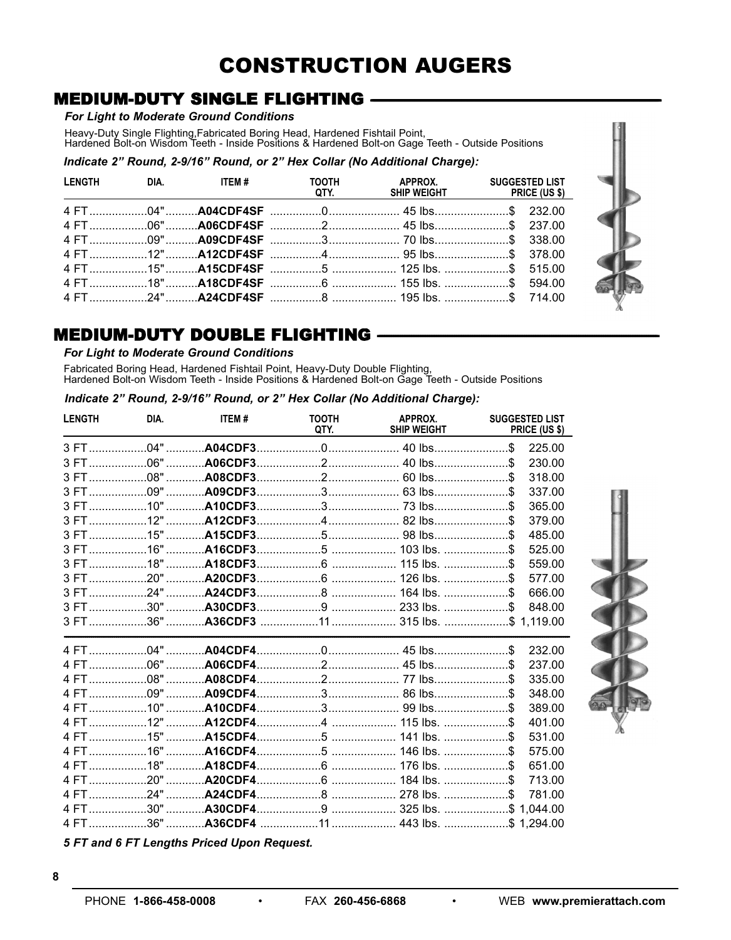# **CONSTRUCTION AUGERS**

# **MEDIUM-DUTY SINGLE FLIGHTING -**

#### For Light to Moderate Ground Conditions

Heavy-Duty Single Flighting, Fabricated Boring Head, Hardened Fishtail Point,<br>Hardened Bolt-on Wisdom Teeth - Inside Positions & Hardened Bolt-on Gage Teeth - Outside Positions

Indicate 2" Round, 2-9/16" Round, or 2" Hex Collar (No Additional Charge):

| and the state of the state of |  |                                                                             | QTY. SHIP WEIGHT PRICE (US \$) |  |
|-------------------------------|--|-----------------------------------------------------------------------------|--------------------------------|--|
|                               |  | 4 FT………………04"……… <b>A04CDF4SF</b> ……………0………………………45 lbs……………………\$ 232.00    |                                |  |
|                               |  |                                                                             |                                |  |
|                               |  |                                                                             |                                |  |
|                               |  |                                                                             |                                |  |
|                               |  |                                                                             |                                |  |
|                               |  |                                                                             |                                |  |
|                               |  | 4 FT………………24"……… <b>A24CDF4SF</b> ……………8 …………………… 195 lbs. …………………\$ 714.00 |                                |  |

## **MEDIUM-DUTY DOUBLE FLIGHTING**

#### For Light to Moderate Ground Conditions

Fabricated Boring Head, Hardened Fishtail Point, Heavy-Duty Double Flighting,<br>Hardened Bolt-on Wisdom Teeth - Inside Positions & Hardened Bolt-on Gage Teeth - Outside Positions

Indicate 2" Round, 2-9/16" Round, or 2" Hex Collar (No Additional Charge):

| <b>LENGTH</b> | DIA. | ITEM# | <b>TOOTH</b><br>QTY. | APPROX.<br><b>SHIP WEIGHT</b> | <b>SUGGESTED LIST</b><br>PRICE (US \$) |
|---------------|------|-------|----------------------|-------------------------------|----------------------------------------|
|               |      |       |                      |                               | 225.00                                 |
|               |      |       |                      |                               | 230.00                                 |
|               |      |       |                      |                               | 318.00                                 |
|               |      |       |                      |                               | 337.00                                 |
|               |      |       |                      |                               | 365.00                                 |
|               |      |       |                      |                               | 379.00                                 |
|               |      |       |                      |                               | 485.00                                 |
|               |      |       |                      |                               | 525.00                                 |
|               |      |       |                      |                               | 559.00                                 |
|               |      |       |                      |                               | 577.00                                 |
|               |      |       |                      |                               | 666.00                                 |
|               |      |       |                      |                               | 848.00                                 |
|               |      |       |                      |                               |                                        |
|               |      |       |                      |                               | 232.00                                 |
|               |      |       |                      |                               | 237.00                                 |
|               |      |       |                      |                               | 335.00                                 |
|               |      |       |                      |                               | 348.00                                 |
|               |      |       |                      |                               | 389.00                                 |
|               |      |       |                      |                               | 401.00                                 |
|               |      |       |                      |                               | 531.00                                 |
|               |      |       |                      |                               | 575.00                                 |
|               |      |       |                      |                               | 651.00                                 |
|               |      |       |                      |                               | 713.00                                 |
|               |      |       |                      |                               | 781.00                                 |
|               |      |       |                      |                               |                                        |
|               |      |       |                      |                               |                                        |

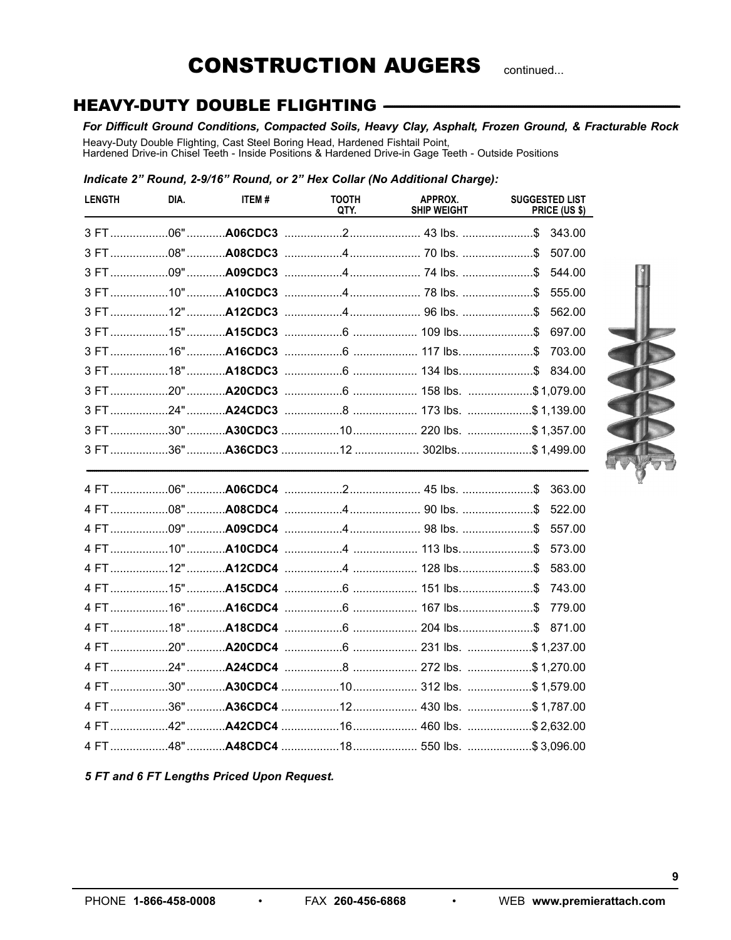# **CONSTRUCTION AUGERS**

continued...

# **HEAVY-DUTY DOUBLE FLIGHTING -**

#### For Difficult Ground Conditions, Compacted Soils, Heavy Clay, Asphalt, Frozen Ground, & Fracturable Rock

Heavy-Duty Double Flighting, Cast Steel Boring Head, Hardened Fishtail Point,<br>Hardened Drive-in Chisel Teeth - Inside Positions & Hardened Drive-in Gage Teeth - Outside Positions

#### Indicate 2" Round, 2-9/16" Round, or 2" Hex Collar (No Additional Charge):

| <b>LENGTH</b> | DIA. | ITEM# | <b>TOOTH</b><br>QTY. | APPROX.<br><b>SHIP WEIGHT</b> | <b>SUGGESTED LIST</b><br>PRICE (US \$) |
|---------------|------|-------|----------------------|-------------------------------|----------------------------------------|
|               |      |       |                      |                               |                                        |
|               |      |       |                      |                               | 507.00                                 |
|               |      |       |                      |                               | 544.00                                 |
|               |      |       |                      |                               | 555.00                                 |
|               |      |       |                      |                               | 562.00                                 |
|               |      |       |                      |                               | 697.00                                 |
|               |      |       |                      |                               | 703.00                                 |
|               |      |       |                      |                               |                                        |
|               |      |       |                      |                               |                                        |
|               |      |       |                      |                               |                                        |
|               |      |       |                      |                               |                                        |
|               |      |       |                      |                               |                                        |
|               |      |       |                      |                               |                                        |
|               |      |       |                      |                               | 522.00                                 |
|               |      |       |                      |                               | 557.00                                 |
|               |      |       |                      |                               | 573.00                                 |
|               |      |       |                      |                               | 583.00                                 |
|               |      |       |                      |                               | 743.00                                 |
|               |      |       |                      |                               | 779.00                                 |
|               |      |       |                      |                               | 871.00                                 |
|               |      |       |                      |                               |                                        |
|               |      |       |                      |                               |                                        |
|               |      |       |                      |                               |                                        |
|               |      |       |                      |                               |                                        |
|               |      |       |                      |                               |                                        |
|               |      |       |                      |                               |                                        |

5 FT and 6 FT Lengths Priced Upon Request.

 $\bullet$ 

 $\bullet$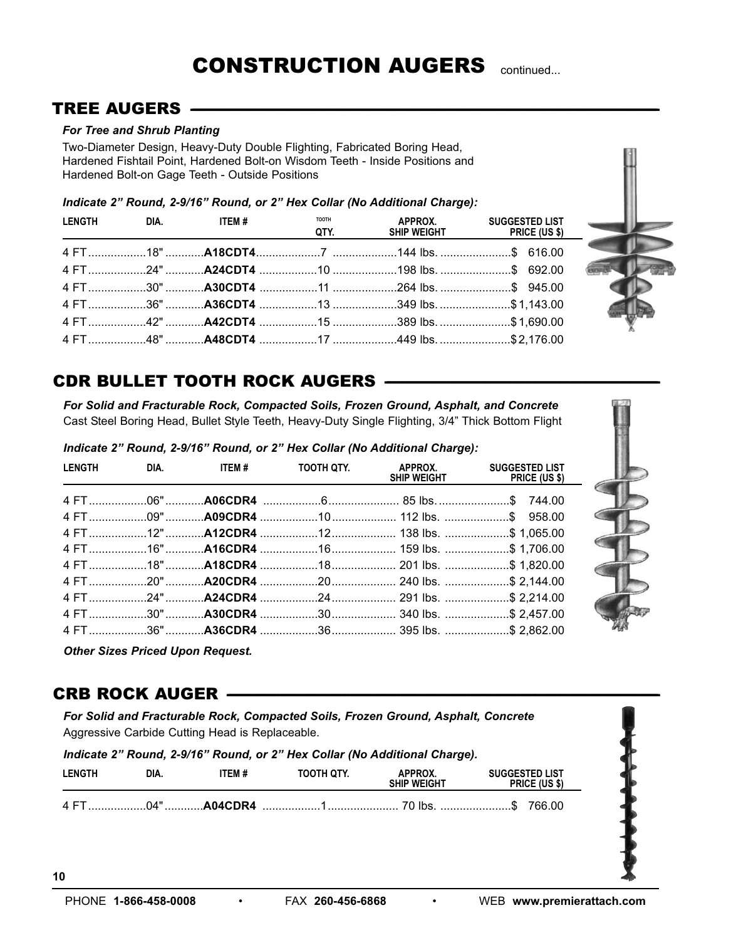## **TREE AUGERS -**

#### *For Tree and Shrub Planting*

Two-Diameter Design, Heavy-Duty Double Flighting, Fabricated Boring Head, Hardened Fishtail Point, Hardened Bolt-on Wisdom Teeth - Inside Positions and Hardened Bolt-on Gage Teeth - Outside Positions

*Indicate 2" Round, 2-9/16" Round, or 2" Hex Collar (No Additional Charge):*

| LENGTH | DIA. In the set of the set of the set of the set of the set of the set of the set of the set of the set of the | ITEM # | <b>TOOTH</b><br>QTY. | APPROX.                                                                                   | <b>SUGGESTED LIST</b><br>SHIP WEIGHT PRICE (US \$) |
|--------|----------------------------------------------------------------------------------------------------------------|--------|----------------------|-------------------------------------------------------------------------------------------|----------------------------------------------------|
|        |                                                                                                                |        |                      | 4 FT………………18"………… <b>A18CDT4</b> ………………7  …………………144 lbs……………………………………………………………………………………… |                                                    |
|        |                                                                                                                |        |                      |                                                                                           |                                                    |
|        |                                                                                                                |        |                      |                                                                                           |                                                    |
|        |                                                                                                                |        |                      | 4 FT36" A36CDT4 349 lbs\$1,143.00                                                         |                                                    |
|        |                                                                                                                |        |                      | 4 FT………………42"………… <b>A42CDT4</b> ………………15 ……………………389 lbs……………………\$ 1,690.00              |                                                    |
|        |                                                                                                                |        |                      |                                                                                           |                                                    |



*For Solid and Fracturable Rock, Compacted Soils, Frozen Ground, Asphalt, and Concrete* Cast Steel Boring Head, Bullet Style Teeth, Heavy-Duty Single Flighting, 3/4" Thick Bottom Flight

*Indicate 2" Round, 2-9/16" Round, or 2" Hex Collar (No Additional Charge):*

|  | LENGTH DIA. ITEM # | TOOTH QTY. APPROX. SUGGESTED LIST | SHIP WEIGHT PRICE (US \$) |
|--|--------------------|-----------------------------------|---------------------------|
|  |                    |                                   |                           |
|  |                    |                                   |                           |
|  |                    |                                   |                           |
|  |                    |                                   |                           |
|  |                    |                                   |                           |
|  |                    |                                   |                           |
|  |                    |                                   |                           |
|  |                    |                                   |                           |
|  |                    |                                   |                           |



## **CRB ROCK AUGER -**

*For Solid and Fracturable Rock, Compacted Soils, Frozen Ground, Asphalt, Concrete* Aggressive Carbide Cutting Head is Replaceable.

| Indicate 2" Round, 2-9/16" Round, or 2" Hex Collar (No Additional Charge). |      |        |            |                               |                                                                 |  |
|----------------------------------------------------------------------------|------|--------|------------|-------------------------------|-----------------------------------------------------------------|--|
| <b>LENGTH</b>                                                              | DIA. | ITEM # | тоотн отү. | APPROX.<br><b>SHIP WEIGHT</b> | <b>SUGGESTED LIST</b><br><b>PRICE (US \$)</b>                   |  |
|                                                                            |      |        |            |                               | 4 FT04"…………A04CDR4 ………………1…………………………70 lbs. …………………………\$ 766.00 |  |

**10**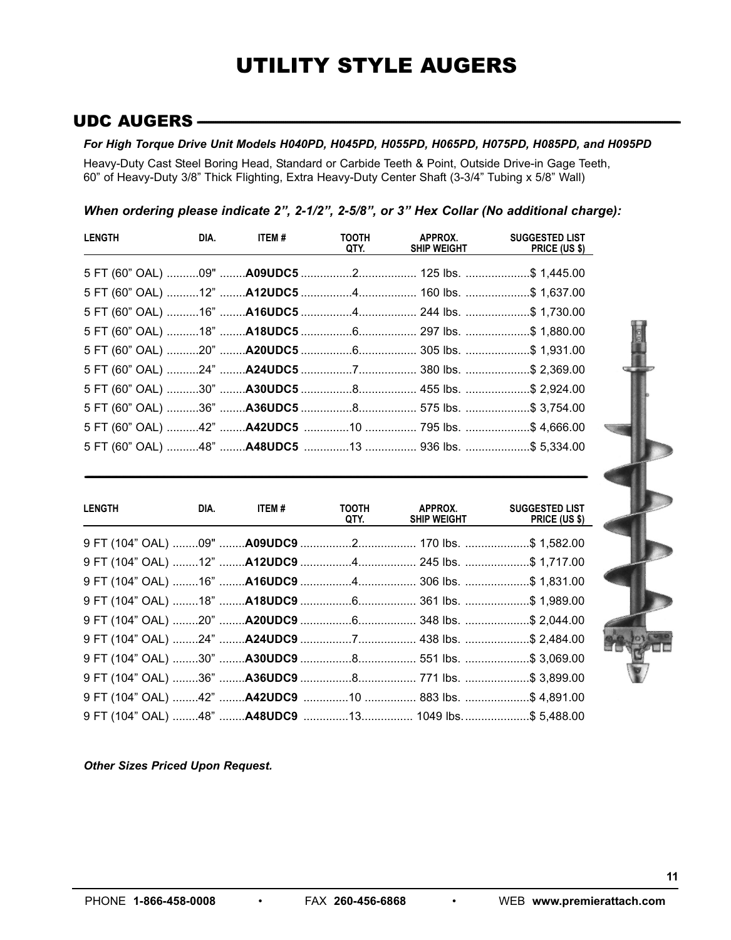# UTILITY STYLE AUGERS

## **UDC AUGERS --**

#### *For High Torque Drive Unit Models H040PD, H045PD, H055PD, H065PD, H075PD, H085PD, and H095PD*

Heavy-Duty Cast Steel Boring Head, Standard or Carbide Teeth & Point, Outside Drive-in Gage Teeth, 60" of Heavy-Duty 3/8" Thick Flighting, Extra Heavy-Duty Center Shaft (3-3/4" Tubing x 5/8" Wall)

#### *When ordering please indicate 2", 2-1/2", 2-5/8", or 3" Hex Collar (No additional charge):*

| <b>LENGTH</b>                                              | <b>DIA.</b> ITEM # | QTY. | <b>SHIP WEIGHT</b> | <b>SUGGESTED LIST</b><br>PRICE (US \$) |
|------------------------------------------------------------|--------------------|------|--------------------|----------------------------------------|
|                                                            |                    |      |                    |                                        |
| 5 FT (60" OAL) 12" A12UDC5 4 160 lbs. \$ 1,637.00          |                    |      |                    |                                        |
|                                                            |                    |      |                    |                                        |
|                                                            |                    |      |                    |                                        |
|                                                            |                    |      |                    |                                        |
|                                                            |                    |      |                    |                                        |
| 5 FT (60" OAL) 30" <b>A30UDC5</b> 8 455 lbs. \$ 2,924.00   |                    |      |                    |                                        |
|                                                            |                    |      |                    |                                        |
|                                                            |                    |      |                    |                                        |
| 5 FT (60" OAL) 48" <b>A48UDC5</b> 13  936 lbs. \$ 5,334.00 |                    |      |                    |                                        |

<u> 1989 - Johann Barbara, marka a shekara ta 1989 - Anna a tsarann a tsarann a tsarann a tsarann a tsarann a tsa</u>

| <b>LENGTH</b> | <b>DIA.</b> ITEM # | QTY. | SHIP WEIGHT | TOOTH APPROX. SUGGESTED LIST<br><b>PRICE (US \$)</b>                             |
|---------------|--------------------|------|-------------|----------------------------------------------------------------------------------|
|               |                    |      |             | 9 FT (104" OAL) ……09" ……A09UDC9 ……………2……………… 170 lbs. …………………\$ 1,582.00         |
|               |                    |      |             | 9 FT (104" OAL) ……12" ……A12UDC9 ……………4……………… 245 lbs. …………………\$ 1,717.00         |
|               |                    |      |             | 9 FT (104" OAL) ……16" ……A16UDC9 ……………4……………… 306 lbs. …………………\$ 1,831.00         |
|               |                    |      |             | 9 FT (104" OAL) ……18" ……A18UDC9 ……………6……………… 361 lbs. …………………\$ 1,989.00         |
|               |                    |      |             | 9 FT (104" OAL) ……20" ……A20UDC9 ……………6……………… 348 lbs. …………………\$ 2,044.00         |
|               |                    |      |             | 9 FT (104" OAL) ……24" …… <b>A24UDC9</b> ……………7……………… 438 lbs. …………………\$ 2,484.00 |
|               |                    |      |             | 9 FT (104" OAL) ……30" ……A30UDC9 ……………8……………… 551 lbs. …………………\$ 3,069.00         |
|               |                    |      |             | 9 FT (104" OAL) ……36" ……A36UDC9 …………….8………………. 771 lbs. ……………………\$ 3,899.00      |
|               |                    |      |             | 9 FT (104" OAL) ……42" ……A42UDC9 …………10 …………… 883 lbs. …………………\$ 4,891.00         |
|               |                    |      |             | 9 FT (104" OAL) ……48" ……A48UDC9 …………13……………. 1049 lbs……………………\$ 5,488.00         |

*Other Sizes Priced Upon Request.*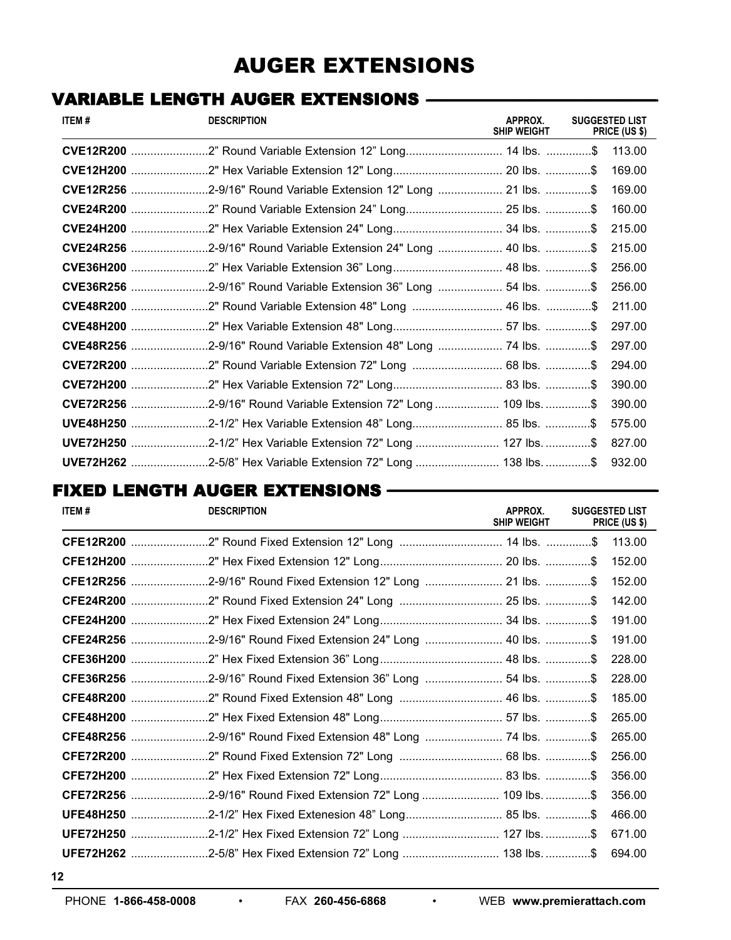# AUGER EXTENSIONS

# VARIABLE LENGTH AUGER EXTENSIONS **--------------------------------------------------------------------------------------------------------------------------------**

| ITEM# | <b>DESCRIPTION</b>                                               | APPROX.<br><b>SHIP WEIGHT</b> | <b>SUGGESTED LIST</b><br>PRICE (US \$) |
|-------|------------------------------------------------------------------|-------------------------------|----------------------------------------|
|       |                                                                  |                               | 113.00                                 |
|       |                                                                  |                               | 169.00                                 |
|       | CVE12R256 2-9/16" Round Variable Extension 12" Long  21 lbs. \$  |                               | 169.00                                 |
|       |                                                                  |                               | 160.00                                 |
|       |                                                                  |                               | 215.00                                 |
|       | CVE24R256 2-9/16" Round Variable Extension 24" Long  40 lbs. \$  |                               | 215.00                                 |
|       |                                                                  |                               | 256.00                                 |
|       | CVE36R256 2-9/16" Round Variable Extension 36" Long  54 lbs. \$  |                               | 256.00                                 |
|       | CVE48R200 2" Round Variable Extension 48" Long  46 lbs. \$       |                               | 211.00                                 |
|       | CVE48H200 2" Hex Variable Extension 48" Long57 lbs. \$           |                               | 297.00                                 |
|       |                                                                  |                               | 297.00                                 |
|       |                                                                  |                               | 294.00                                 |
|       | CVE72H200 2" Hex Variable Extension 72" Long 83 lbs. \$          |                               | 390.00                                 |
|       | CVE72R256 2-9/16" Round Variable Extension 72" Long  109 lbs. \$ |                               | 390.00                                 |
|       |                                                                  |                               | 575.00                                 |
|       | UVE72H250 2-1/2" Hex Variable Extension 72" Long  127 lbs. \$    |                               | 827.00                                 |
|       | UVE72H262 2-5/8" Hex Variable Extension 72" Long  138 lbs. \$    |                               | 932.00                                 |

# FIXED LENGTH AUGER EXTENSIONS **------------------------------------------------------------------------------------------------------------------------------------------------------**

| ITEM# | <b>DESCRIPTION</b>                                            | APPROX.<br><b>SHIP WEIGHT</b> | <b>SUGGESTED LIST</b><br>PRICE (US \$) |
|-------|---------------------------------------------------------------|-------------------------------|----------------------------------------|
|       |                                                               |                               | 113.00                                 |
|       |                                                               |                               | 152.00                                 |
|       | CFE12R256 2-9/16" Round Fixed Extension 12" Long  21 lbs. \$  |                               | 152.00                                 |
|       | CFE24R200 2" Round Fixed Extension 24" Long  25 lbs. \$       |                               | 142.00                                 |
|       |                                                               |                               | 191.00                                 |
|       | CFE24R256 2-9/16" Round Fixed Extension 24" Long  40 lbs. \$  |                               | 191.00                                 |
|       |                                                               |                               | 228.00                                 |
|       | CFE36R256 2-9/16" Round Fixed Extension 36" Long  54 lbs. \$  |                               | 228.00                                 |
|       | CFE48R200 2" Round Fixed Extension 48" Long  46 lbs. \$       |                               | 185.00                                 |
|       |                                                               |                               | 265.00                                 |
|       | CFE48R256 2-9/16" Round Fixed Extension 48" Long  74 lbs. \$  |                               | 265.00                                 |
|       |                                                               |                               | 256.00                                 |
|       |                                                               |                               | 356.00                                 |
|       | CFE72R256 2-9/16" Round Fixed Extension 72" Long  109 lbs. \$ |                               | 356.00                                 |
|       |                                                               |                               | 466.00                                 |
|       | UFE72H250 2-1/2" Hex Fixed Extension 72" Long  127 lbs. \$    |                               | 671.00                                 |
|       |                                                               |                               | 694.00                                 |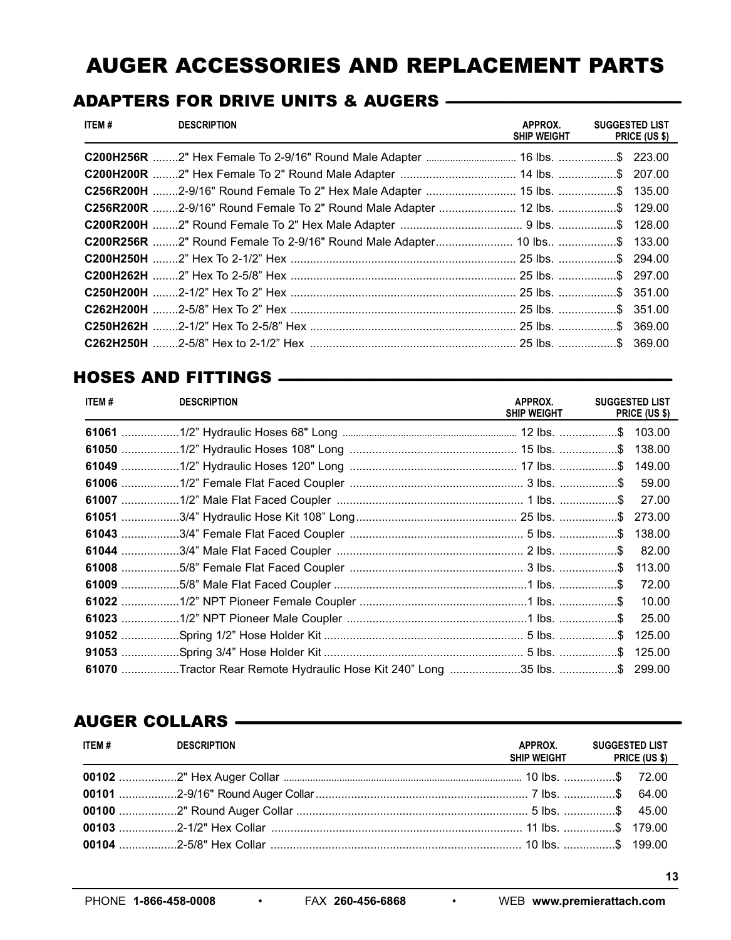# **AUGER ACCESSORIES AND REPLACEMENT PARTS**

## ADAPTERS FOR DRIVE UNITS & AUGERS - The Management of ADAPTERS FOR DRIVE UNITS & AUGERS

| ITEM # | <b>DESCRIPTION</b>                                                         | APPROX.<br><b>SHIP WEIGHT</b> | <b>SUGGESTED LIST</b><br>PRICE (US \$) |
|--------|----------------------------------------------------------------------------|-------------------------------|----------------------------------------|
|        | C200H256R 2" Hex Female To 2-9/16" Round Male Adapter  16 lbs. \$ 223.00   |                               |                                        |
|        | C200H200R 2" Hex Female To 2" Round Male Adapter  14 lbs. \$ 207.00        |                               |                                        |
|        | C256R200H 2-9/16" Round Female To 2" Hex Male Adapter  15 lbs. \$ 135.00   |                               |                                        |
|        | C256R200R 2-9/16" Round Female To 2" Round Male Adapter  12 lbs. \$ 129.00 |                               |                                        |
|        |                                                                            |                               |                                        |
|        | C200R256R 2" Round Female To 2-9/16" Round Male Adapter 10 lbs \$ 133.00   |                               |                                        |
|        |                                                                            |                               |                                        |
|        |                                                                            |                               |                                        |
|        |                                                                            |                               |                                        |
|        |                                                                            |                               |                                        |
|        |                                                                            |                               |                                        |
|        |                                                                            |                               |                                        |

## 

| ITEM# | <b>DESCRIPTION</b>                                                       | APPROX.<br>SHIP WEIGHT | <b>SUGGESTED LIST</b><br><b>PRICE (US \$)</b> |
|-------|--------------------------------------------------------------------------|------------------------|-----------------------------------------------|
|       |                                                                          |                        |                                               |
|       |                                                                          |                        |                                               |
|       |                                                                          |                        |                                               |
|       |                                                                          |                        | 59.00                                         |
|       |                                                                          |                        |                                               |
|       |                                                                          |                        |                                               |
|       |                                                                          |                        |                                               |
|       |                                                                          |                        | 82.00                                         |
|       |                                                                          |                        | 113.00                                        |
|       |                                                                          |                        | 72.00                                         |
|       |                                                                          |                        | 10.00                                         |
|       |                                                                          |                        | 25.00                                         |
|       |                                                                          |                        | 125.00                                        |
|       |                                                                          |                        |                                               |
|       | 61070 Tractor Rear Remote Hydraulic Hose Kit 240" Long 35 lbs. \$ 299.00 |                        |                                               |

## AUGER COLLARS - AUGER COLLARS

| ITEM # | <b>DESCRIPTION</b> | APPROX.<br>SHIP WEIGHT PRICE (US \$) | <b>SUGGESTED LIST</b> |
|--------|--------------------|--------------------------------------|-----------------------|
|        |                    |                                      |                       |
|        |                    |                                      |                       |
|        |                    |                                      |                       |
|        |                    |                                      |                       |
|        |                    |                                      |                       |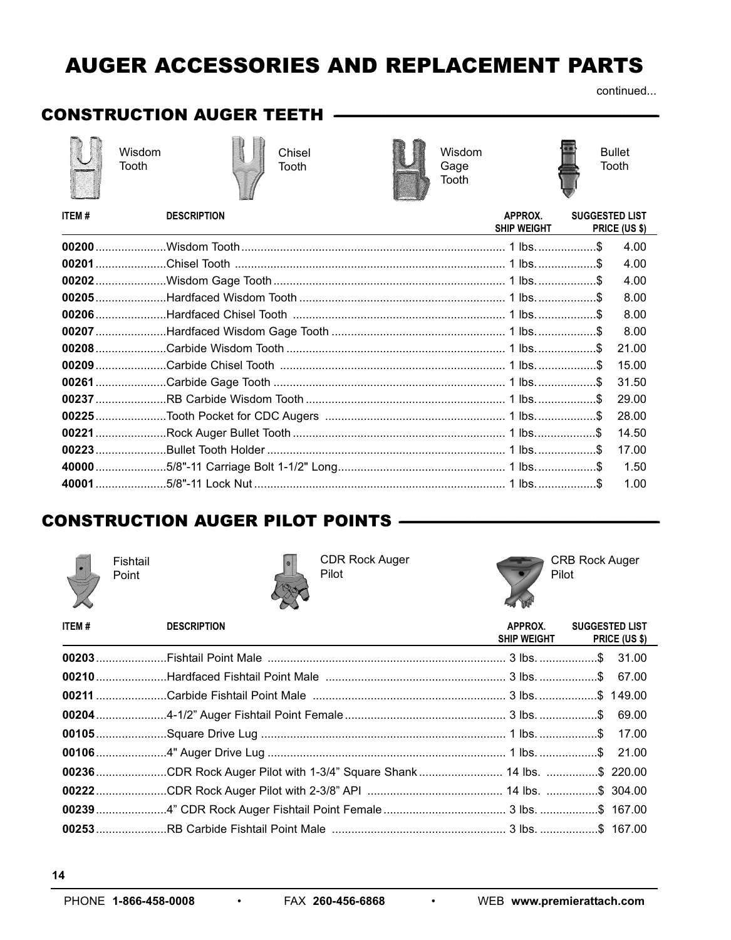# **AUGER ACCESSORIES AND REPLACEMENT PARTS**

continued...

# **CONSTRUCTION AUGER TEETH**







Chisel Tooth



Wisdom Gage Tooth



**Bullet** Tooth

| o a | ٠<br>ı |  |
|-----|--------|--|

**DESCRIPTION** 

| <b>ITEM#</b> | <b>DESCRIPTION</b> | APPROX.<br><b>SHIP WEIGHT</b> | <b>SUGGESTED LIST</b> | <b>PRICE (US \$)</b> |
|--------------|--------------------|-------------------------------|-----------------------|----------------------|
|              |                    |                               |                       | 4.00                 |
|              |                    |                               |                       | 4.00                 |
|              |                    |                               |                       | 4.00                 |
|              |                    |                               |                       | 8.00                 |
|              |                    |                               |                       | 8.00                 |
|              |                    |                               |                       | 8.00                 |
|              |                    |                               |                       | 21.00                |
|              |                    |                               |                       | 15.00                |
|              |                    |                               |                       | 31.50                |
|              |                    |                               |                       | 29.00                |
|              |                    |                               |                       | 28.00                |
|              |                    |                               |                       | 14.50                |
|              |                    |                               |                       | 17.00                |
|              |                    |                               |                       | 1.50                 |
|              |                    |                               |                       | 1.00                 |

# **CONSTRUCTION AUGER PILOT POINTS**



Fishtail Point



**CDR Rock Auger** Pilot



**CRB Rock Auger** Pilot

| ITEM# | <b>DESCRIPTION</b>                                                     | APPROX. | <b>SUGGESTED LIST</b><br>SHIP WEIGHT PRICE (US \$) |
|-------|------------------------------------------------------------------------|---------|----------------------------------------------------|
|       |                                                                        |         |                                                    |
|       |                                                                        |         |                                                    |
|       |                                                                        |         |                                                    |
|       |                                                                        |         |                                                    |
|       |                                                                        |         |                                                    |
|       |                                                                        |         |                                                    |
|       | 00236 CDR Rock Auger Pilot with 1-3/4" Square Shank  14 lbs. \$ 220.00 |         |                                                    |
|       |                                                                        |         |                                                    |
|       |                                                                        |         |                                                    |
|       |                                                                        |         |                                                    |

 $\bullet$ 

 $\bullet$